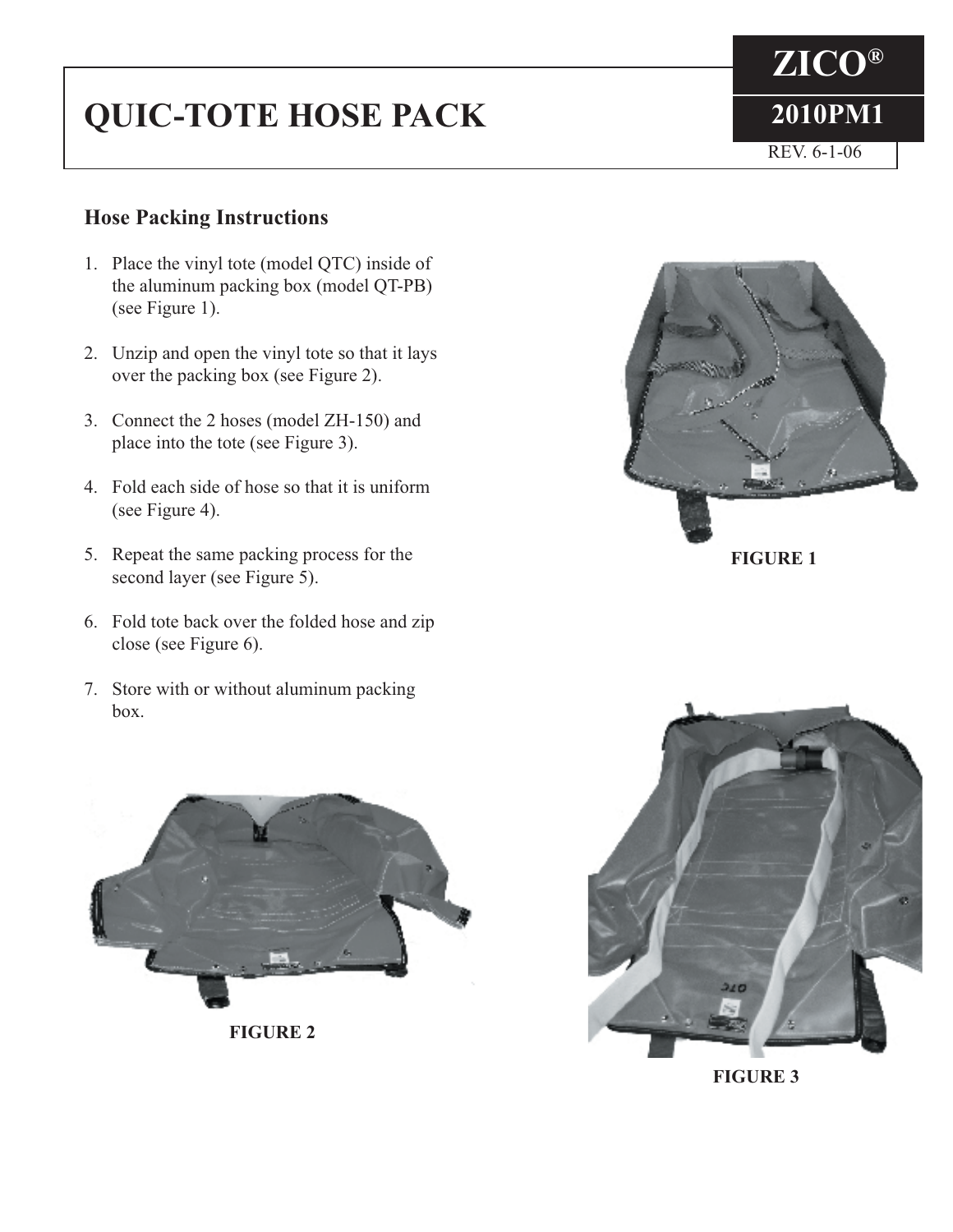## **QUIC-TOTE HOSE PACK** 2010PM1

## **Hose Packing Instructions**

- 1. Place the vinyl tote (model QTC) inside of the aluminum packing box (model QT-PB) (see Figure 1).
- 2. Unzip and open the vinyl tote so that it lays over the packing box (see Figure 2).
- 3. Connect the 2 hoses (model ZH-150) and place into the tote (see Figure 3).
- 4. Fold each side of hose so that it is uniform (see Figure 4).
- 5. Repeat the same packing process for the second layer (see Figure 5).
- 6. Fold tote back over the folded hose and zip close (see Figure 6).
- 7. Store with or without aluminum packing box.



**FIGURE 1**

**ZICO®**

REV. 6-1-06



**FIGURE 3**